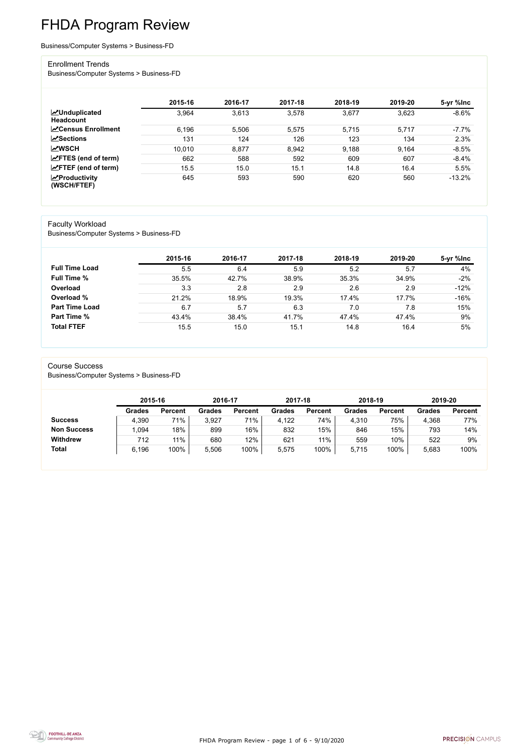FHDA Program Review - page 1 of 6 - 9/10/2020



# FHDA Program Review

Business/Computer Systems > Business-FD

#### Enrollment Trends

Business/Computer Systems > Business-FD

|                                          | 2015-16 | 2016-17 | 2017-18 | 2018-19 | 2019-20 | 5-yr %lnc |
|------------------------------------------|---------|---------|---------|---------|---------|-----------|
| <b>MUnduplicated</b><br><b>Headcount</b> | 3,964   | 3,613   | 3,578   | 3,677   | 3,623   | $-8.6%$   |
| <b>∠</b> Census Enrollment               | 6,196   | 5,506   | 5,575   | 5,715   | 5,717   | $-7.7%$   |
| <b>∠Sections</b>                         | 131     | 124     | 126     | 123     | 134     | 2.3%      |
| <b>MWSCH</b>                             | 10,010  | 8,877   | 8,942   | 9,188   | 9.164   | $-8.5%$   |
| $\angle$ FTES (end of term)              | 662     | 588     | 592     | 609     | 607     | $-8.4%$   |
| $\angle$ FTEF (end of term)              | 15.5    | 15.0    | 15.1    | 14.8    | 16.4    | 5.5%      |
| $\chi$ Productivity<br>(WSCH/FTEF)       | 645     | 593     | 590     | 620     | 560     | $-13.2%$  |

#### Faculty Workload

Business/Computer Systems > Business-FD

|                       | 2015-16 | 2016-17 | 2017-18 | 2018-19 | 2019-20 | 5-yr %lnc |
|-----------------------|---------|---------|---------|---------|---------|-----------|
| <b>Full Time Load</b> | 5.5     | 6.4     | 5.9     | 5.2     | 5.7     | 4%        |
| <b>Full Time %</b>    | 35.5%   | 42.7%   | 38.9%   | 35.3%   | 34.9%   | $-2%$     |
| Overload              | 3.3     | 2.8     | 2.9     | 2.6     | 2.9     | $-12%$    |
| Overload %            | 21.2%   | 18.9%   | 19.3%   | 17.4%   | 17.7%   | $-16%$    |
| <b>Part Time Load</b> | 6.7     | 5.7     | 6.3     | 7.0     | 7.8     | 15%       |
| Part Time %           | 43.4%   | 38.4%   | 41.7%   | 47.4%   | 47.4%   | 9%        |
| <b>Total FTEF</b>     | 15.5    | 15.0    | 15.1    | 14.8    | 16.4    | 5%        |

#### Course Success

Business/Computer Systems > Business-FD

|                    |               | 2015-16        |               | 2016-17        | 2017-18       |                | 2018-19       |                | 2019-20       |                |
|--------------------|---------------|----------------|---------------|----------------|---------------|----------------|---------------|----------------|---------------|----------------|
|                    | <b>Grades</b> | <b>Percent</b> | <b>Grades</b> | <b>Percent</b> | <b>Grades</b> | <b>Percent</b> | <b>Grades</b> | <b>Percent</b> | <b>Grades</b> | <b>Percent</b> |
| <b>Success</b>     | 4,390         | 71%            | 3,927         | 71%            | 4,122         | 74%            | 4,310         | 75%            | 4,368         | 77%            |
| <b>Non Success</b> | 1,094         | 18%            | 899           | 16%            | 832           | 15%            | 846           | 15%            | 793           | 14%            |
| <b>Withdrew</b>    | 712           | 11%            | 680           | 12%            | 621           | 11%            | 559           | 10%            | 522           | 9%             |
| <b>Total</b>       | 6,196         | 100%           | 5,506         | 100%           | 5,575         | 100%           | 5,715         | 100%           | 5,683         | 100%           |

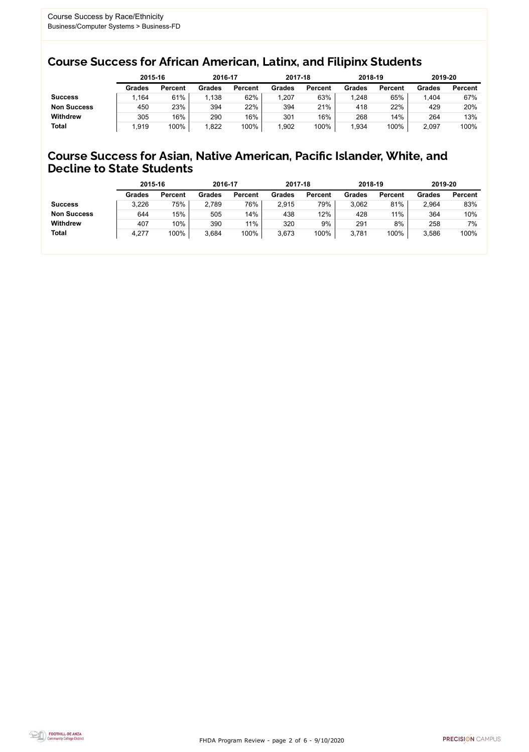FHDA Program Review - page 2 of 6 - 9/10/2020



### Course Success for African American, Latinx, and Filipinx Students

### Course Success for Asian, Native American, Pacific Islander, White, and Decline to State Students

|                    |               | 2015-16        |               | 2016-17        |               | 2017-18        | 2018-19       |                | 2019-20       |                |
|--------------------|---------------|----------------|---------------|----------------|---------------|----------------|---------------|----------------|---------------|----------------|
|                    | <b>Grades</b> | <b>Percent</b> | <b>Grades</b> | <b>Percent</b> | <b>Grades</b> | <b>Percent</b> | <b>Grades</b> | <b>Percent</b> | <b>Grades</b> | <b>Percent</b> |
| <b>Success</b>     | .164          | 61%            | 1,138         | 62%            | 1,207         | 63%            | ,248          | 65%            | .404          | 67%            |
| <b>Non Success</b> | 450           | 23%            | 394           | 22%            | 394           | 21%            | 418           | 22%            | 429           | 20%            |
| <b>Withdrew</b>    | 305           | 16%            | 290           | 16%            | 301           | 16%            | 268           | 14%            | 264           | 13%            |
| <b>Total</b>       | ,919          | 100%           | 1,822         | 100%           | 1,902         | 100%           | ,934          | 100%           | 2,097         | 100%           |

|                    | 2015-16       |                | 2016-17       |                | 2017-18       |                | 2018-19       |                | 2019-20       |                |
|--------------------|---------------|----------------|---------------|----------------|---------------|----------------|---------------|----------------|---------------|----------------|
|                    | <b>Grades</b> | <b>Percent</b> | <b>Grades</b> | <b>Percent</b> | <b>Grades</b> | <b>Percent</b> | <b>Grades</b> | <b>Percent</b> | <b>Grades</b> | <b>Percent</b> |
| <b>Success</b>     | 3,226         | 75%            | 2,789         | 76%            | 2,915         | 79%            | 3,062         | 81%            | 2,964         | 83%            |
| <b>Non Success</b> | 644           | 15%            | 505           | 14%            | 438           | 12%            | 428           | 11%            | 364           | 10%            |
| <b>Withdrew</b>    | 407           | 10%            | 390           | 11%            | 320           | 9%             | 291           | 8%             | 258           | 7%             |
| <b>Total</b>       | 4,277         | 100%           | 3,684         | 100%           | 3,673         | 100%           | 3,781         | 100%           | 3,586         | 100%           |
|                    |               |                |               |                |               |                |               |                |               |                |

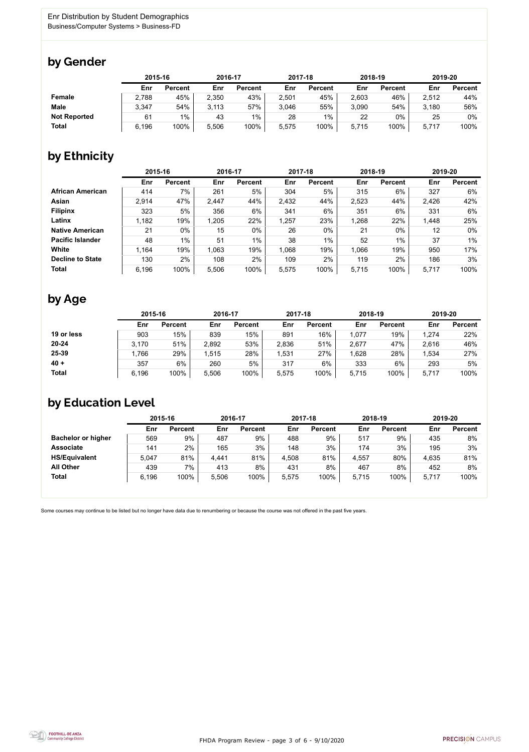

Some courses may continue to be listed but no longer have data due to renumbering or because the course was not offered in the past five years.



### by Gender

|                     |       | 2015-16        |       | 2016-17        |       | 2017-18        | 2018-19 |                | 2019-20 |                |
|---------------------|-------|----------------|-------|----------------|-------|----------------|---------|----------------|---------|----------------|
|                     | Enr   | <b>Percent</b> | Enr   | <b>Percent</b> | Enr   | <b>Percent</b> | Enr     | <b>Percent</b> | Enr     | <b>Percent</b> |
| Female              | 2,788 | 45%            | 2,350 | 43%            | 2,501 | 45%            | 2,603   | 46%            | 2,512   | 44%            |
| <b>Male</b>         | 3,347 | 54%            | 3,113 | 57%            | 3,046 | 55%            | 3,090   | 54%            | 3,180   | 56%            |
| <b>Not Reported</b> | 61    | $1\%$          | 43    | $1\%$          | 28    | 1%             | 22      | $0\%$          | 25      | 0%             |
| <b>Total</b>        | 6,196 | 100%           | 5,506 | 100%           | 5,575 | 100%           | 5,715   | 100%           | 5,717   | 100%           |

### by Ethnicity

|                         |       | 2015-16        |       | 2016-17        |       | 2017-18        | 2018-19 |                | 2019-20 |                |
|-------------------------|-------|----------------|-------|----------------|-------|----------------|---------|----------------|---------|----------------|
|                         | Enr   | <b>Percent</b> | Enr   | <b>Percent</b> | Enr   | <b>Percent</b> | Enr     | <b>Percent</b> | Enr     | <b>Percent</b> |
| <b>African American</b> | 414   | 7%             | 261   | 5%             | 304   | 5%             | 315     | 6%             | 327     | 6%             |
| <b>Asian</b>            | 2,914 | 47%            | 2,447 | 44%            | 2,432 | 44%            | 2,523   | 44%            | 2,426   | 42%            |
| <b>Filipinx</b>         | 323   | 5%             | 356   | 6%             | 341   | 6%             | 351     | 6%             | 331     | $6\%$          |
| Latinx                  | 1,182 | 19%            | 1,205 | 22%            | 1,257 | 23%            | 1,268   | 22%            | 1,448   | 25%            |
| <b>Native American</b>  | 21    | $0\%$          | 15    | $0\%$          | 26    | $0\%$          | 21      | $0\%$          | 12      | $0\%$          |
| <b>Pacific Islander</b> | 48    | $1\%$          | 51    | $1\%$          | 38    | $1\%$          | 52      | $1\%$          | 37      | $1\%$          |
| White                   | 1,164 | 19%            | 1,063 | 19%            | 1,068 | 19%            | 1,066   | 19%            | 950     | 17%            |
| <b>Decline to State</b> | 130   | 2%             | 108   | 2%             | 109   | 2%             | 119     | 2%             | 186     | 3%             |
| <b>Total</b>            | 6,196 | 100%           | 5,506 | 100%           | 5,575 | 100%           | 5,715   | 100%           | 5,717   | 100%           |

### by Age

|              | 2015-16 |                | 2016-17 |                | 2017-18 |                | 2018-19 |                | 2019-20 |                |
|--------------|---------|----------------|---------|----------------|---------|----------------|---------|----------------|---------|----------------|
|              | Enr     | <b>Percent</b> | Enr     | <b>Percent</b> | Enr     | <b>Percent</b> | Enr     | <b>Percent</b> | Enr     | <b>Percent</b> |
| 19 or less   | 903     | 15%            | 839     | 15%            | 891     | 16%            | 1,077   | 19%            | 1,274   | 22%            |
| $20 - 24$    | 3,170   | 51%            | 2,892   | 53%            | 2,836   | 51%            | 2,677   | 47%            | 2,616   | 46%            |
| 25-39        | .766    | 29%            | 1,515   | 28%            | ,531    | 27%            | .628    | 28%            | 1,534   | 27%            |
| $40 +$       | 357     | 6%             | 260     | 5%             | 317     | 6%             | 333     | $6\%$          | 293     | 5%             |
| <b>Total</b> | 6,196   | 100%           | 5,506   | 100%           | 5,575   | 100%           | 5,715   | 100%           | 5,717   | 100%           |

## by Education Level

|                           | 2015-16 |                |       | 2016-17        |       | 2017-18        | 2018-19 |                | 2019-20 |                |
|---------------------------|---------|----------------|-------|----------------|-------|----------------|---------|----------------|---------|----------------|
|                           | Enr     | <b>Percent</b> | Enr   | <b>Percent</b> | Enr   | <b>Percent</b> | Enr     | <b>Percent</b> | Enr     | <b>Percent</b> |
| <b>Bachelor or higher</b> | 569     | 9%             | 487   | 9%             | 488   | 9%             | 517     | 9%             | 435     | 8%             |
| <b>Associate</b>          | 141     | 2%             | 165   | 3%             | 148   | 3%             | 174     | 3%             | 195     | 3%             |
| <b>HS/Equivalent</b>      | 5,047   | 81%            | 4,441 | 81%            | 4,508 | 81%            | 4,557   | 80%            | 4,635   | 81%            |
| <b>All Other</b>          | 439     | $7\%$          | 413   | 8%             | 431   | 8%             | 467     | 8%             | 452     | 8%             |
| <b>Total</b>              | 6,196   | 100%           | 5,506 | 100%           | 5,575 | 100%           | 5,715   | 100%           | 5,717   | 100%           |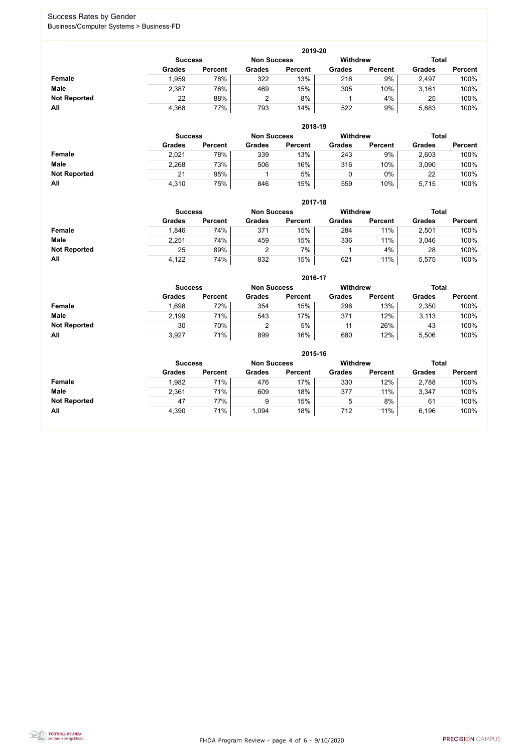FHDA Program Review - page 4 of 6 - 9/10/2020



### Success Rates by Gender Business/Computer Systems > Business-FD

|                     | 2019-20                                                                 |                |               |                |               |                |               |                |  |  |  |  |  |
|---------------------|-------------------------------------------------------------------------|----------------|---------------|----------------|---------------|----------------|---------------|----------------|--|--|--|--|--|
|                     | <b>Withdrew</b><br><b>Total</b><br><b>Non Success</b><br><b>Success</b> |                |               |                |               |                |               |                |  |  |  |  |  |
|                     | <b>Grades</b>                                                           | <b>Percent</b> | <b>Grades</b> | <b>Percent</b> | <b>Grades</b> | <b>Percent</b> | <b>Grades</b> | <b>Percent</b> |  |  |  |  |  |
| <b>Female</b>       | l.959                                                                   | 78%            | 322           | 13%            | 216           | 9%             | 2,497         | 100%           |  |  |  |  |  |
| <b>Male</b>         | 2,387                                                                   | 76%            | 469           | 15%            | 305           | 10%            | 3,161         | 100%           |  |  |  |  |  |
| <b>Not Reported</b> | 22                                                                      | 88%            |               | 8%             |               | 4%             | 25            | 100%           |  |  |  |  |  |
| All                 | 4,368                                                                   | 77%            | 793           | 14%            | 522           | 9%             | 5,683         | 100%           |  |  |  |  |  |

|                     |               | 2018-19                              |               |                |               |                |               |                |  |  |  |  |  |
|---------------------|---------------|--------------------------------------|---------------|----------------|---------------|----------------|---------------|----------------|--|--|--|--|--|
|                     |               | <b>Non Success</b><br><b>Success</b> |               |                |               |                |               | <b>Total</b>   |  |  |  |  |  |
|                     | <b>Grades</b> | <b>Percent</b>                       | <b>Grades</b> | <b>Percent</b> | <b>Grades</b> | <b>Percent</b> | <b>Grades</b> | <b>Percent</b> |  |  |  |  |  |
| <b>Female</b>       | 2,021         | 78%                                  | 339           | 13%            | 243           | 9%             | 2,603         | 100%           |  |  |  |  |  |
| <b>Male</b>         | 2,268         | 73%                                  | 506           | 16%            | 316           | 10%            | 3,090         | 100%           |  |  |  |  |  |
| <b>Not Reported</b> | 21            | 95%                                  |               | 5%             |               | $0\%$          | 22            | 100%           |  |  |  |  |  |
| All                 | 4,310         | 75%                                  | 846           | 15%            | 559           | 10%            | 5,715         | 100%           |  |  |  |  |  |

|                     | 2017-18                                                                 |                |               |                |               |                |               |                |  |  |  |  |  |
|---------------------|-------------------------------------------------------------------------|----------------|---------------|----------------|---------------|----------------|---------------|----------------|--|--|--|--|--|
|                     | <b>Withdrew</b><br><b>Total</b><br><b>Non Success</b><br><b>Success</b> |                |               |                |               |                |               |                |  |  |  |  |  |
|                     | <b>Grades</b>                                                           | <b>Percent</b> | <b>Grades</b> | <b>Percent</b> | <b>Grades</b> | <b>Percent</b> | <b>Grades</b> | <b>Percent</b> |  |  |  |  |  |
| Female              | .846                                                                    | 74%            | 371           | 15%            | 284           | 11%            | 2,501         | 100%           |  |  |  |  |  |
| <b>Male</b>         | 2,251                                                                   | 74%            | 459           | 15%            | 336           | 11%            | 3,046         | 100%           |  |  |  |  |  |
| <b>Not Reported</b> | 25                                                                      | 89%            |               | 7%             |               | 4%             | 28            | 100%           |  |  |  |  |  |
| <b>All</b>          | 4,122                                                                   | 74%            | 832           | 15%            | 621           | 11%            | 5,575         | 100%           |  |  |  |  |  |

|                     |               | 2016-17        |               |                |                 |                |               |                |  |  |
|---------------------|---------------|----------------|---------------|----------------|-----------------|----------------|---------------|----------------|--|--|
|                     |               | <b>Success</b> |               |                | <b>Withdrew</b> |                | <b>Total</b>  |                |  |  |
|                     | <b>Grades</b> | <b>Percent</b> | <b>Grades</b> | <b>Percent</b> | <b>Grades</b>   | <b>Percent</b> | <b>Grades</b> | <b>Percent</b> |  |  |
| <b>Female</b>       | 898,          | 72%            | 354           | 15%            | 298             | 13%            | 2,350         | 100%           |  |  |
| <b>Male</b>         | 2,199         | 71%            | 543           | 17%            | 371             | 12%            | 3,113         | 100%           |  |  |
| <b>Not Reported</b> | 30            | 70%            | 2             | 5%             | 11              | 26%            | 43            | 100%           |  |  |
| All                 | 3,927         | 71%            | 899           | 16%            | 680             | 12%            | 5,506         | 100%           |  |  |

|                     | 2015-16        |                |                    |                |               |                |               |                |  |
|---------------------|----------------|----------------|--------------------|----------------|---------------|----------------|---------------|----------------|--|
|                     | <b>Success</b> |                | <b>Non Success</b> |                | Withdrew      |                | <b>Total</b>  |                |  |
|                     | <b>Grades</b>  | <b>Percent</b> | <b>Grades</b>      | <b>Percent</b> | <b>Grades</b> | <b>Percent</b> | <b>Grades</b> | <b>Percent</b> |  |
| Female              | 1,982          | 71%            | 476                | 17%            | 330           | 12%            | 2,788         | 100%           |  |
| <b>Male</b>         | 2,361          | 71%            | 609                | 18%            | 377           | 11%            | 3,347         | 100%           |  |
| <b>Not Reported</b> | 47             | 77%            | 9                  | 15%            | ხ             | 8%             | 61            | 100%           |  |
| All                 | 4,390          | 71%            | 1,094              | 18%            | 712           | 11%            | 6,196         | 100%           |  |

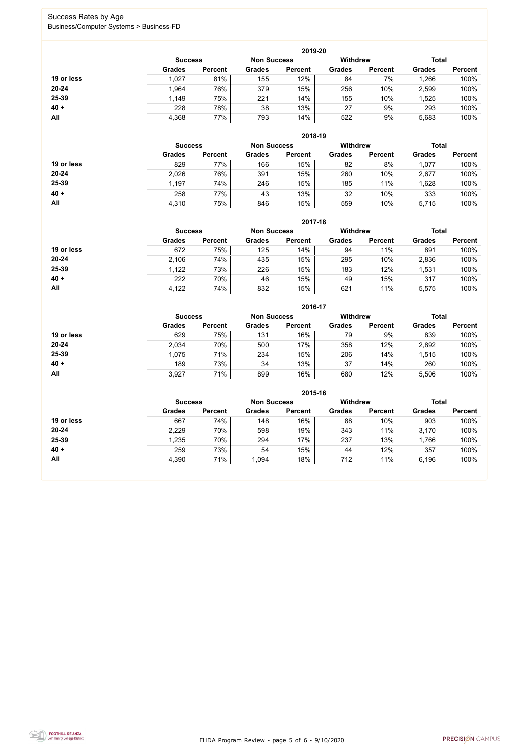FHDA Program Review - page 5 of 6 - 9/10/2020



### Success Rates by Age Business/Computer Systems > Business-FD

|            |                |                    |               | 2019-20         |               |                |               |                |
|------------|----------------|--------------------|---------------|-----------------|---------------|----------------|---------------|----------------|
|            | <b>Success</b> | <b>Non Success</b> |               | <b>Withdrew</b> |               |                | <b>Total</b>  |                |
|            | <b>Grades</b>  | <b>Percent</b>     | <b>Grades</b> | <b>Percent</b>  | <b>Grades</b> | <b>Percent</b> | <b>Grades</b> | <b>Percent</b> |
| 19 or less | 1,027          | 81%                | 155           | 12%             | 84            | 7%             | ,266          | 100%           |
| $20 - 24$  | 1,964          | 76%                | 379           | 15%             | 256           | 10%            | 2,599         | 100%           |
| 25-39      | 1,149          | 75%                | 221           | 14%             | 155           | 10%            | ,525          | 100%           |
| $40 +$     | 228            | 78%                | 38            | 13%             | 27            | 9%             | 293           | 100%           |
| All        | 4,368          | 77%                | 793           | 14%             | 522           | 9%             | 5,683         | 100%           |

|            |                |                    |               | 2018-19         |               |                |               |                |
|------------|----------------|--------------------|---------------|-----------------|---------------|----------------|---------------|----------------|
|            | <b>Success</b> | <b>Non Success</b> |               | <b>Withdrew</b> |               | <b>Total</b>   |               |                |
|            | <b>Grades</b>  | <b>Percent</b>     | <b>Grades</b> | <b>Percent</b>  | <b>Grades</b> | <b>Percent</b> | <b>Grades</b> | <b>Percent</b> |
| 19 or less | 829            | 77%                | 166           | 15%             | 82            | 8%             | 1,077         | 100%           |
| $20 - 24$  | 2,026          | 76%                | 391           | 15%             | 260           | 10%            | 2,677         | 100%           |
| 25-39      | 1,197          | 74%                | 246           | 15%             | 185           | 11%            | 1,628         | 100%           |
| $40 +$     | 258            | 77%                | 43            | 13%             | 32            | 10%            | 333           | 100%           |
| All        | 4,310          | 75%                | 846           | 15%             | 559           | 10%            | 5,715         | 100%           |

|            | 2017-18                              |                |               |                |                 |                |               |                |  |
|------------|--------------------------------------|----------------|---------------|----------------|-----------------|----------------|---------------|----------------|--|
|            | <b>Non Success</b><br><b>Success</b> |                |               |                | <b>Withdrew</b> |                | <b>Total</b>  |                |  |
|            | <b>Grades</b>                        | <b>Percent</b> | <b>Grades</b> | <b>Percent</b> | <b>Grades</b>   | <b>Percent</b> | <b>Grades</b> | <b>Percent</b> |  |
| 19 or less | 672                                  | 75%            | 125           | 14%            | 94              | 11%            | 891           | 100%           |  |
| $20 - 24$  | 2,106                                | 74%            | 435           | 15%            | 295             | 10%            | 2,836         | 100%           |  |
| 25-39      | 1,122                                | 73%            | 226           | 15%            | 183             | 12%            | 531,ا         | 100%           |  |
| $40 +$     | 222                                  | 70%            | 46            | 15%            | 49              | 15%            | 317           | 100%           |  |
| All        | 4,122                                | 74%            | 832           | 15%            | 621             | 11%            | 5,575         | 100%           |  |

|            |                |                    |               | 2016-17         |               |                |               |                |
|------------|----------------|--------------------|---------------|-----------------|---------------|----------------|---------------|----------------|
|            | <b>Success</b> | <b>Non Success</b> |               | <b>Withdrew</b> |               | <b>Total</b>   |               |                |
|            | <b>Grades</b>  | <b>Percent</b>     | <b>Grades</b> | <b>Percent</b>  | <b>Grades</b> | <b>Percent</b> | <b>Grades</b> | <b>Percent</b> |
| 19 or less | 629            | 75%                | 131           | 16%             | 79            | 9%             | 839           | 100%           |
| $20 - 24$  | 2,034          | 70%                | 500           | 17%             | 358           | 12%            | 2,892         | 100%           |
| 25-39      | 1,075          | 71%                | 234           | 15%             | 206           | 14%            | 1,515         | 100%           |
| $40 +$     | 189            | 73%                | 34            | 13%             | 37            | 14%            | 260           | 100%           |
| All        | 3,927          | 71%                | 899           | 16%             | 680           | 12%            | 5,506         | 100%           |

|            | 2015-16                              |                |               |                |                 |                |               |                |  |
|------------|--------------------------------------|----------------|---------------|----------------|-----------------|----------------|---------------|----------------|--|
|            | <b>Non Success</b><br><b>Success</b> |                |               |                | <b>Withdrew</b> |                | <b>Total</b>  |                |  |
|            | <b>Grades</b>                        | <b>Percent</b> | <b>Grades</b> | <b>Percent</b> | <b>Grades</b>   | <b>Percent</b> | <b>Grades</b> | <b>Percent</b> |  |
| 19 or less | 667                                  | 74%            | 148           | 16%            | 88              | 10%            | 903           | 100%           |  |
| $20 - 24$  | 2,229                                | 70%            | 598           | 19%            | 343             | 11%            | 3,170         | 100%           |  |
| 25-39      | 1,235                                | 70%            | 294           | 17%            | 237             | 13%            | 1,766         | 100%           |  |
| $40 +$     | 259                                  | 73%            | 54            | 15%            | 44              | 12%            | 357           | 100%           |  |
| All        | 4,390                                | 71%            | 1,094         | 18%            | 712             | 11%            | 6,196         | 100%           |  |